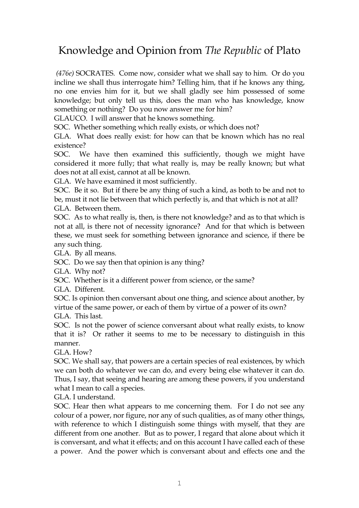## Knowledge and Opinion from *The Republic* of Plato

*(476e)* SOCRATES. Come now, consider what we shall say to him. Or do you incline we shall thus interrogate him? Telling him, that if he knows any thing, no one envies him for it, but we shall gladly see him possessed of some knowledge; but only tell us this, does the man who has knowledge, know something or nothing? Do you now answer me for him?

GLAUCO. I will answer that he knows something.

SOC. Whether something which really exists, or which does not?

GLA. What does really exist: for how can that be known which has no real existence?

SOC. We have then examined this sufficiently, though we might have considered it more fully; that what really is, may be really known; but what does not at all exist, cannot at all be known.

GLA. We have examined it most sufficiently.

SOC. Be it so. But if there be any thing of such a kind, as both to be and not to be, must it not lie between that which perfectly is, and that which is not at all?

GLA. Between them.

SOC. As to what really is, then, is there not knowledge? and as to that which is not at all, is there not of necessity ignorance? And for that which is between these, we must seek for something between ignorance and science, if there be any such thing.

GLA. By all means.

SOC. Do we say then that opinion is any thing?

GLA. Why not?

SOC. Whether is it a different power from science, or the same?

GLA. Different.

SOC. Is opinion then conversant about one thing, and science about another, by virtue of the same power, or each of them by virtue of a power of its own? GLA. This last.

SOC. Is not the power of science conversant about what really exists, to know that it is? Or rather it seems to me to be necessary to distinguish in this manner.

GLA. How?

SOC. We shall say, that powers are a certain species of real existences, by which we can both do whatever we can do, and every being else whatever it can do. Thus, I say, that seeing and hearing are among these powers, if you understand what I mean to call a species.

GLA. I understand.

SOC. Hear then what appears to me concerning them. For I do not see any colour of a power, nor figure, nor any of such qualities, as of many other things, with reference to which I distinguish some things with myself, that they are different from one another. But as to power, I regard that alone about which it is conversant, and what it effects; and on this account I have called each of these a power. And the power which is conversant about and effects one and the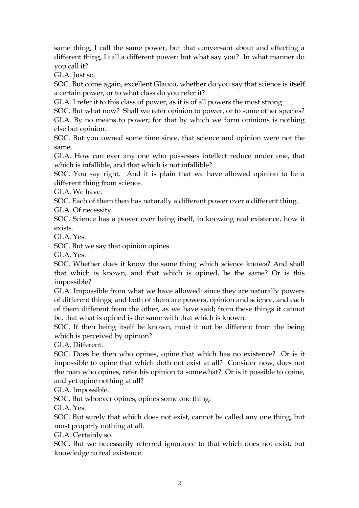same thing, I call the same power, but that conversant about and effecting a different thing, I call a different power: but what say you? In what manner do you call it?

GLA. Just so.

SOC. But come again, excellent Glauco, whether do you say that science is itself a certain power, or to what class do you refer it?

GLA. I refer it to this class of power, as it is of all powers the most strong.

SOC. But what now? Shall we refer opinion to power, or to some other species? GLA. By no means to power; for that by which we form opinions is nothing else but opinion.

SOC. But you owned some time since, that science and opinion were not the same.

GLA. How can ever any one who possesses intellect reduce under one, that which is infallible, and that which is not infallible?

SOC. You say right. And it is plain that we have allowed opinion to be a different thing from science.

GLA. We have.

SOC. Each of them then has naturally a different power over a different thing.

GLA. Of necessity.

SOC. Science has a power over being itself, in knowing real existence, how it exists.

GLA. Yes.

SOC. But we say that opinion opines.

GLA. Yes.

SOC. Whether does it know the same thing which science knows? And shall that which is known, and that which is opined, be the same? Or is this impossible?

GLA. Impossible from what we have allowed: since they are naturally powers of different things, and both of them are powers, opinion and science, and each of them different from the other, as we have said; from these things it cannot be, that what is opined is the same with that which is known.

SOC. If then being itself be known, must it not be different from the being which is perceived by opinion?

GLA. Different.

SOC. Does he then who opines, opine that which has no existence? Or is it impossible to opine that which doth not exist at all? Consider now, does not the man who opines, refer his opinion to somewhat? Or is it possible to opine, and yet opine nothing at all?

GLA. Impossible.

SOC. But whoever opines, opines some one thing.

GLA. Yes.

SOC. But surely that which does not exist, cannot be called any one thing, but most properly nothing at all.

GLA. Certainly so.

SOC. But we necessarily referred ignorance to that which does not exist, but knowledge to real existence.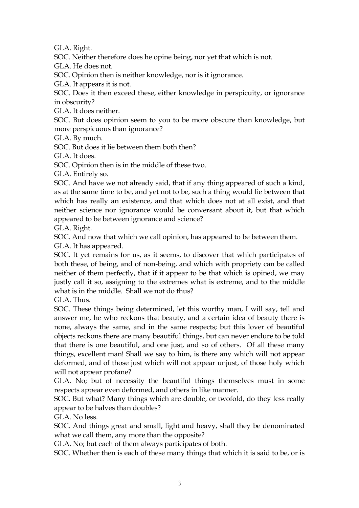GLA. Right.

SOC. Neither therefore does he opine being, nor yet that which is not.

GLA. He does not.

SOC. Opinion then is neither knowledge, nor is it ignorance.

GLA. It appears it is not.

SOC. Does it then exceed these, either knowledge in perspicuity, or ignorance in obscurity?

GLA. It does neither.

SOC. But does opinion seem to you to be more obscure than knowledge, but more perspicuous than ignorance?

GLA. By much.

SOC. But does it lie between them both then?

GLA. It does.

SOC. Opinion then is in the middle of these two.

GLA. Entirely so.

SOC. And have we not already said, that if any thing appeared of such a kind, as at the same time to be, and yet not to be, such a thing would lie between that which has really an existence, and that which does not at all exist, and that neither science nor ignorance would be conversant about it, but that which appeared to be between ignorance and science?

GLA. Right.

SOC. And now that which we call opinion, has appeared to be between them.

GLA. It has appeared.

SOC. It yet remains for us, as it seems, to discover that which participates of both these, of being, and of non-being, and which with propriety can be called neither of them perfectly, that if it appear to be that which is opined, we may justly call it so, assigning to the extremes what is extreme, and to the middle what is in the middle. Shall we not do thus?

GLA. Thus.

SOC. These things being determined, let this worthy man, I will say, tell and answer me, he who reckons that beauty, and a certain idea of beauty there is none, always the same, and in the same respects; but this lover of beautiful objects reckons there are many beautiful things, but can never endure to be told that there is one beautiful, and one just, and so of others. Of all these many things, excellent man! Shall we say to him, is there any which will not appear deformed, and of those just which will not appear unjust, of those holy which will not appear profane?

GLA. No; but of necessity the beautiful things themselves must in some respects appear even deformed, and others in like manner.

SOC. But what? Many things which are double, or twofold, do they less really appear to be halves than doubles?

GLA. No less.

SOC. And things great and small, light and heavy, shall they be denominated what we call them, any more than the opposite?

GLA. No; but each of them always participates of both.

SOC. Whether then is each of these many things that which it is said to be, or is